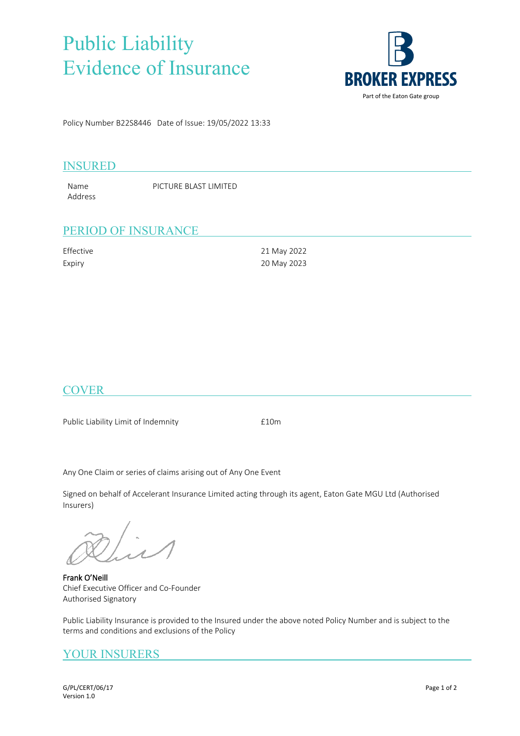## Public Liability Evidence of Insurance



Policy Number B22S8446 Date of Issue: 19/05/2022 13:33

#### INSURED

Name PICTURE BLAST LIMITED Address

### PERIOD OF INSURANCE

| Effective | 21 May 2022 |
|-----------|-------------|
| Expiry    | 20 May 2023 |

### **COVER**

Public Liability Limit of Indemnity **Ellem** 

Any One Claim or series of claims arising out of Any One Event

Signed on behalf of Accelerant Insurance Limited acting through its agent, Eaton Gate MGU Ltd (Authorised Insurers)

**Frank O'Neill** Chief Executive Officer and Co-Founder Authorised Signatory

Public Liability Insurance is provided to the Insured under the above noted Policy Number and is subject to the terms and conditions and exclusions of the Policy

### YOUR INSURERS

G/PL/CERT/06/17 Page 1 of 2 Version 1.0